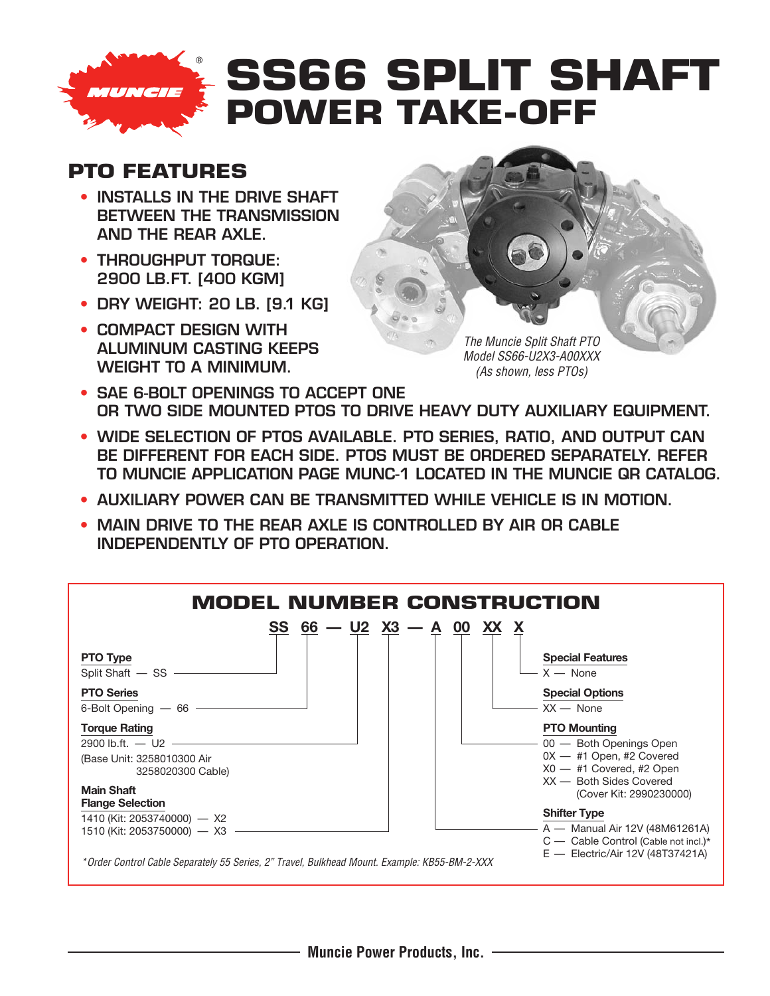

## **SS66 SPLIT SHAFT POWER TAKE-OFF**

## **PTO FEATURES**

- **• INSTALLS IN THE DRIVE SHAFT BETWEEN THE TRANSMISSION AND THE REAR AXLE.**
- **• THROUGHPUT TORQUE: 2900 LB.FT. [400 KGM]**
- **• DRY WEIGHT: 20 LB. [9.1 KG]**
- **• COMPACT DESIGN WITH ALUMINUM CASTING KEEPS WEIGHT TO A MINIMUM.**



- **• SAE 6-BOLT OPENINGS TO ACCEPT ONE OR TWO SIDE MOUNTED PTOS TO DRIVE HEAVY DUTY AUXILIARY EQUIPMENT.**
- **• WIDE SELECTION OF PTOS AVAILABLE. PTO SERIES, RATIO, AND OUTPUT CAN BE DIFFERENT FOR EACH SIDE. PTOS MUST BE ORDERED SEPARATELY. REFER TO MUNCIE APPLICATION PAGE MUNC-1 LOCATED IN THE MUNCIE QR CATALOG.**
- **• AUXILIARY POWER CAN BE TRANSMITTED WHILE VEHICLE IS IN MOTION.**
- **• MAIN DRIVE TO THE REAR AXLE IS CONTROLLED BY AIR OR CABLE INDEPENDENTLY OF PTO OPERATION.**